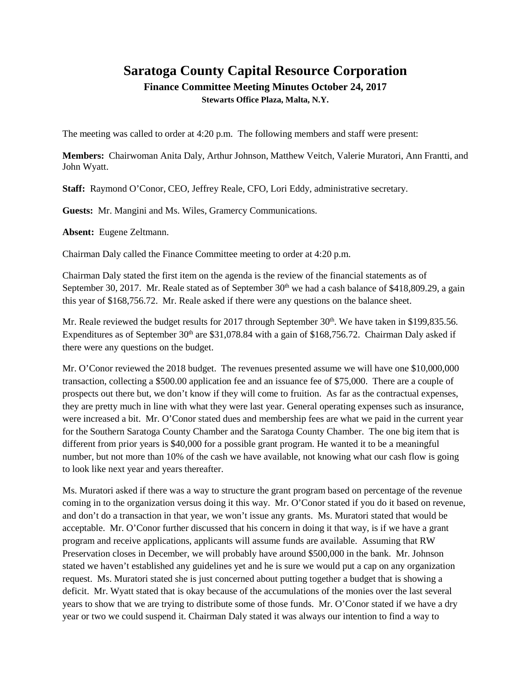## **Saratoga County Capital Resource Corporation Finance Committee Meeting Minutes October 24, 2017 Stewarts Office Plaza, Malta, N.Y.**

The meeting was called to order at 4:20 p.m. The following members and staff were present:

**Members:** Chairwoman Anita Daly, Arthur Johnson, Matthew Veitch, Valerie Muratori, Ann Frantti, and John Wyatt.

**Staff:** Raymond O'Conor, CEO, Jeffrey Reale, CFO, Lori Eddy, administrative secretary.

**Guests:** Mr. Mangini and Ms. Wiles, Gramercy Communications.

**Absent:** Eugene Zeltmann.

Chairman Daly called the Finance Committee meeting to order at 4:20 p.m.

Chairman Daly stated the first item on the agenda is the review of the financial statements as of September 30, 2017. Mr. Reale stated as of September  $30<sup>th</sup>$  we had a cash balance of \$418,809.29, a gain this year of \$168,756.72. Mr. Reale asked if there were any questions on the balance sheet.

Mr. Reale reviewed the budget results for 2017 through September  $30<sup>th</sup>$ . We have taken in \$199,835.56. Expenditures as of September  $30<sup>th</sup>$  are \$31,078.84 with a gain of \$168,756.72. Chairman Daly asked if there were any questions on the budget.

Mr. O'Conor reviewed the 2018 budget. The revenues presented assume we will have one \$10,000,000 transaction, collecting a \$500.00 application fee and an issuance fee of \$75,000. There are a couple of prospects out there but, we don't know if they will come to fruition. As far as the contractual expenses, they are pretty much in line with what they were last year. General operating expenses such as insurance, were increased a bit. Mr. O'Conor stated dues and membership fees are what we paid in the current year for the Southern Saratoga County Chamber and the Saratoga County Chamber. The one big item that is different from prior years is \$40,000 for a possible grant program. He wanted it to be a meaningful number, but not more than 10% of the cash we have available, not knowing what our cash flow is going to look like next year and years thereafter.

Ms. Muratori asked if there was a way to structure the grant program based on percentage of the revenue coming in to the organization versus doing it this way. Mr. O'Conor stated if you do it based on revenue, and don't do a transaction in that year, we won't issue any grants. Ms. Muratori stated that would be acceptable. Mr. O'Conor further discussed that his concern in doing it that way, is if we have a grant program and receive applications, applicants will assume funds are available. Assuming that RW Preservation closes in December, we will probably have around \$500,000 in the bank. Mr. Johnson stated we haven't established any guidelines yet and he is sure we would put a cap on any organization request. Ms. Muratori stated she is just concerned about putting together a budget that is showing a deficit. Mr. Wyatt stated that is okay because of the accumulations of the monies over the last several years to show that we are trying to distribute some of those funds. Mr. O'Conor stated if we have a dry year or two we could suspend it. Chairman Daly stated it was always our intention to find a way to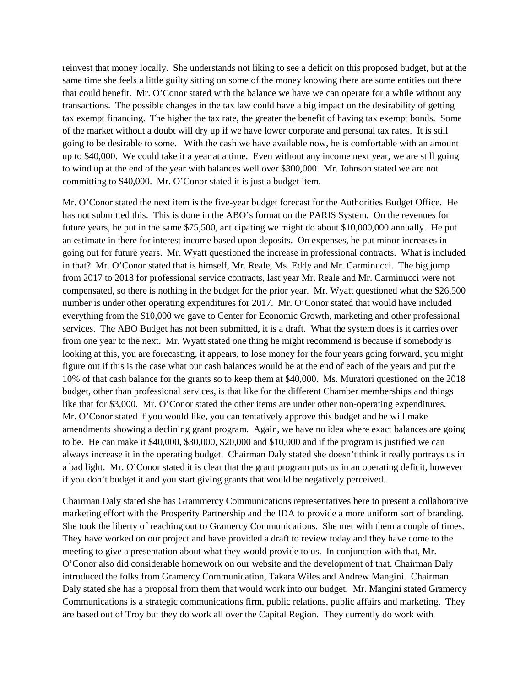reinvest that money locally. She understands not liking to see a deficit on this proposed budget, but at the same time she feels a little guilty sitting on some of the money knowing there are some entities out there that could benefit. Mr. O'Conor stated with the balance we have we can operate for a while without any transactions. The possible changes in the tax law could have a big impact on the desirability of getting tax exempt financing. The higher the tax rate, the greater the benefit of having tax exempt bonds. Some of the market without a doubt will dry up if we have lower corporate and personal tax rates. It is still going to be desirable to some. With the cash we have available now, he is comfortable with an amount up to \$40,000. We could take it a year at a time. Even without any income next year, we are still going to wind up at the end of the year with balances well over \$300,000. Mr. Johnson stated we are not committing to \$40,000. Mr. O'Conor stated it is just a budget item.

Mr. O'Conor stated the next item is the five-year budget forecast for the Authorities Budget Office. He has not submitted this. This is done in the ABO's format on the PARIS System. On the revenues for future years, he put in the same \$75,500, anticipating we might do about \$10,000,000 annually. He put an estimate in there for interest income based upon deposits. On expenses, he put minor increases in going out for future years. Mr. Wyatt questioned the increase in professional contracts. What is included in that? Mr. O'Conor stated that is himself, Mr. Reale, Ms. Eddy and Mr. Carminucci. The big jump from 2017 to 2018 for professional service contracts, last year Mr. Reale and Mr. Carminucci were not compensated, so there is nothing in the budget for the prior year. Mr. Wyatt questioned what the \$26,500 number is under other operating expenditures for 2017. Mr. O'Conor stated that would have included everything from the \$10,000 we gave to Center for Economic Growth, marketing and other professional services. The ABO Budget has not been submitted, it is a draft. What the system does is it carries over from one year to the next. Mr. Wyatt stated one thing he might recommend is because if somebody is looking at this, you are forecasting, it appears, to lose money for the four years going forward, you might figure out if this is the case what our cash balances would be at the end of each of the years and put the 10% of that cash balance for the grants so to keep them at \$40,000. Ms. Muratori questioned on the 2018 budget, other than professional services, is that like for the different Chamber memberships and things like that for \$3,000. Mr. O'Conor stated the other items are under other non-operating expenditures. Mr. O'Conor stated if you would like, you can tentatively approve this budget and he will make amendments showing a declining grant program. Again, we have no idea where exact balances are going to be. He can make it \$40,000, \$30,000, \$20,000 and \$10,000 and if the program is justified we can always increase it in the operating budget. Chairman Daly stated she doesn't think it really portrays us in a bad light. Mr. O'Conor stated it is clear that the grant program puts us in an operating deficit, however if you don't budget it and you start giving grants that would be negatively perceived.

Chairman Daly stated she has Grammercy Communications representatives here to present a collaborative marketing effort with the Prosperity Partnership and the IDA to provide a more uniform sort of branding. She took the liberty of reaching out to Gramercy Communications. She met with them a couple of times. They have worked on our project and have provided a draft to review today and they have come to the meeting to give a presentation about what they would provide to us. In conjunction with that, Mr. O'Conor also did considerable homework on our website and the development of that. Chairman Daly introduced the folks from Gramercy Communication, Takara Wiles and Andrew Mangini. Chairman Daly stated she has a proposal from them that would work into our budget. Mr. Mangini stated Gramercy Communications is a strategic communications firm, public relations, public affairs and marketing. They are based out of Troy but they do work all over the Capital Region. They currently do work with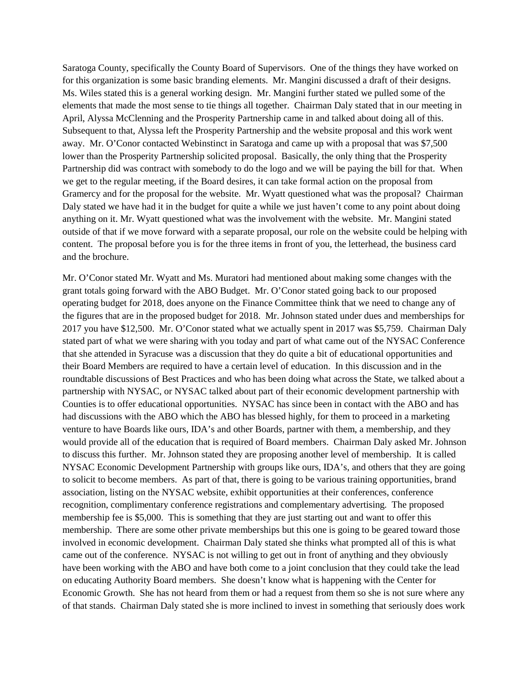Saratoga County, specifically the County Board of Supervisors. One of the things they have worked on for this organization is some basic branding elements. Mr. Mangini discussed a draft of their designs. Ms. Wiles stated this is a general working design. Mr. Mangini further stated we pulled some of the elements that made the most sense to tie things all together. Chairman Daly stated that in our meeting in April, Alyssa McClenning and the Prosperity Partnership came in and talked about doing all of this. Subsequent to that, Alyssa left the Prosperity Partnership and the website proposal and this work went away. Mr. O'Conor contacted Webinstinct in Saratoga and came up with a proposal that was \$7,500 lower than the Prosperity Partnership solicited proposal. Basically, the only thing that the Prosperity Partnership did was contract with somebody to do the logo and we will be paying the bill for that. When we get to the regular meeting, if the Board desires, it can take formal action on the proposal from Gramercy and for the proposal for the website. Mr. Wyatt questioned what was the proposal? Chairman Daly stated we have had it in the budget for quite a while we just haven't come to any point about doing anything on it. Mr. Wyatt questioned what was the involvement with the website. Mr. Mangini stated outside of that if we move forward with a separate proposal, our role on the website could be helping with content. The proposal before you is for the three items in front of you, the letterhead, the business card and the brochure.

Mr. O'Conor stated Mr. Wyatt and Ms. Muratori had mentioned about making some changes with the grant totals going forward with the ABO Budget. Mr. O'Conor stated going back to our proposed operating budget for 2018, does anyone on the Finance Committee think that we need to change any of the figures that are in the proposed budget for 2018. Mr. Johnson stated under dues and memberships for 2017 you have \$12,500. Mr. O'Conor stated what we actually spent in 2017 was \$5,759. Chairman Daly stated part of what we were sharing with you today and part of what came out of the NYSAC Conference that she attended in Syracuse was a discussion that they do quite a bit of educational opportunities and their Board Members are required to have a certain level of education. In this discussion and in the roundtable discussions of Best Practices and who has been doing what across the State, we talked about a partnership with NYSAC, or NYSAC talked about part of their economic development partnership with Counties is to offer educational opportunities. NYSAC has since been in contact with the ABO and has had discussions with the ABO which the ABO has blessed highly, for them to proceed in a marketing venture to have Boards like ours, IDA's and other Boards, partner with them, a membership, and they would provide all of the education that is required of Board members. Chairman Daly asked Mr. Johnson to discuss this further. Mr. Johnson stated they are proposing another level of membership. It is called NYSAC Economic Development Partnership with groups like ours, IDA's, and others that they are going to solicit to become members. As part of that, there is going to be various training opportunities, brand association, listing on the NYSAC website, exhibit opportunities at their conferences, conference recognition, complimentary conference registrations and complementary advertising. The proposed membership fee is \$5,000. This is something that they are just starting out and want to offer this membership. There are some other private memberships but this one is going to be geared toward those involved in economic development. Chairman Daly stated she thinks what prompted all of this is what came out of the conference. NYSAC is not willing to get out in front of anything and they obviously have been working with the ABO and have both come to a joint conclusion that they could take the lead on educating Authority Board members. She doesn't know what is happening with the Center for Economic Growth. She has not heard from them or had a request from them so she is not sure where any of that stands. Chairman Daly stated she is more inclined to invest in something that seriously does work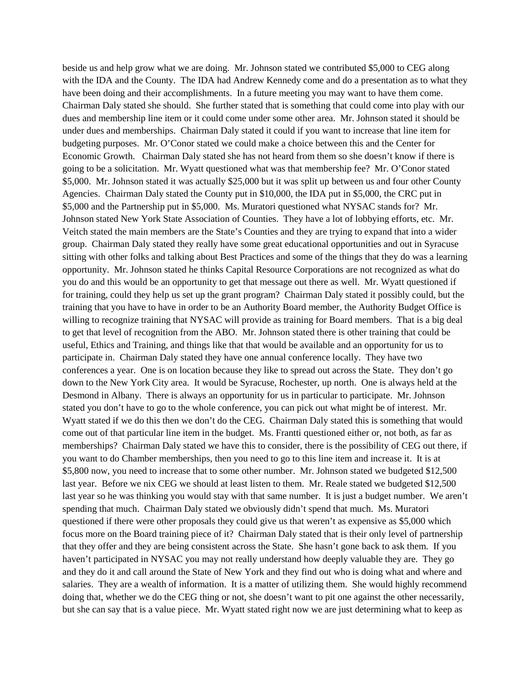beside us and help grow what we are doing. Mr. Johnson stated we contributed \$5,000 to CEG along with the IDA and the County. The IDA had Andrew Kennedy come and do a presentation as to what they have been doing and their accomplishments. In a future meeting you may want to have them come. Chairman Daly stated she should. She further stated that is something that could come into play with our dues and membership line item or it could come under some other area. Mr. Johnson stated it should be under dues and memberships. Chairman Daly stated it could if you want to increase that line item for budgeting purposes. Mr. O'Conor stated we could make a choice between this and the Center for Economic Growth. Chairman Daly stated she has not heard from them so she doesn't know if there is going to be a solicitation. Mr. Wyatt questioned what was that membership fee? Mr. O'Conor stated \$5,000. Mr. Johnson stated it was actually \$25,000 but it was split up between us and four other County Agencies. Chairman Daly stated the County put in \$10,000, the IDA put in \$5,000, the CRC put in \$5,000 and the Partnership put in \$5,000. Ms. Muratori questioned what NYSAC stands for? Mr. Johnson stated New York State Association of Counties. They have a lot of lobbying efforts, etc. Mr. Veitch stated the main members are the State's Counties and they are trying to expand that into a wider group. Chairman Daly stated they really have some great educational opportunities and out in Syracuse sitting with other folks and talking about Best Practices and some of the things that they do was a learning opportunity. Mr. Johnson stated he thinks Capital Resource Corporations are not recognized as what do you do and this would be an opportunity to get that message out there as well. Mr. Wyatt questioned if for training, could they help us set up the grant program? Chairman Daly stated it possibly could, but the training that you have to have in order to be an Authority Board member, the Authority Budget Office is willing to recognize training that NYSAC will provide as training for Board members. That is a big deal to get that level of recognition from the ABO. Mr. Johnson stated there is other training that could be useful, Ethics and Training, and things like that that would be available and an opportunity for us to participate in. Chairman Daly stated they have one annual conference locally. They have two conferences a year. One is on location because they like to spread out across the State. They don't go down to the New York City area. It would be Syracuse, Rochester, up north. One is always held at the Desmond in Albany. There is always an opportunity for us in particular to participate. Mr. Johnson stated you don't have to go to the whole conference, you can pick out what might be of interest. Mr. Wyatt stated if we do this then we don't do the CEG. Chairman Daly stated this is something that would come out of that particular line item in the budget. Ms. Frantti questioned either or, not both, as far as memberships? Chairman Daly stated we have this to consider, there is the possibility of CEG out there, if you want to do Chamber memberships, then you need to go to this line item and increase it. It is at \$5,800 now, you need to increase that to some other number. Mr. Johnson stated we budgeted \$12,500 last year. Before we nix CEG we should at least listen to them. Mr. Reale stated we budgeted \$12,500 last year so he was thinking you would stay with that same number. It is just a budget number. We aren't spending that much. Chairman Daly stated we obviously didn't spend that much. Ms. Muratori questioned if there were other proposals they could give us that weren't as expensive as \$5,000 which focus more on the Board training piece of it? Chairman Daly stated that is their only level of partnership that they offer and they are being consistent across the State. She hasn't gone back to ask them. If you haven't participated in NYSAC you may not really understand how deeply valuable they are. They go and they do it and call around the State of New York and they find out who is doing what and where and salaries. They are a wealth of information. It is a matter of utilizing them. She would highly recommend doing that, whether we do the CEG thing or not, she doesn't want to pit one against the other necessarily, but she can say that is a value piece. Mr. Wyatt stated right now we are just determining what to keep as